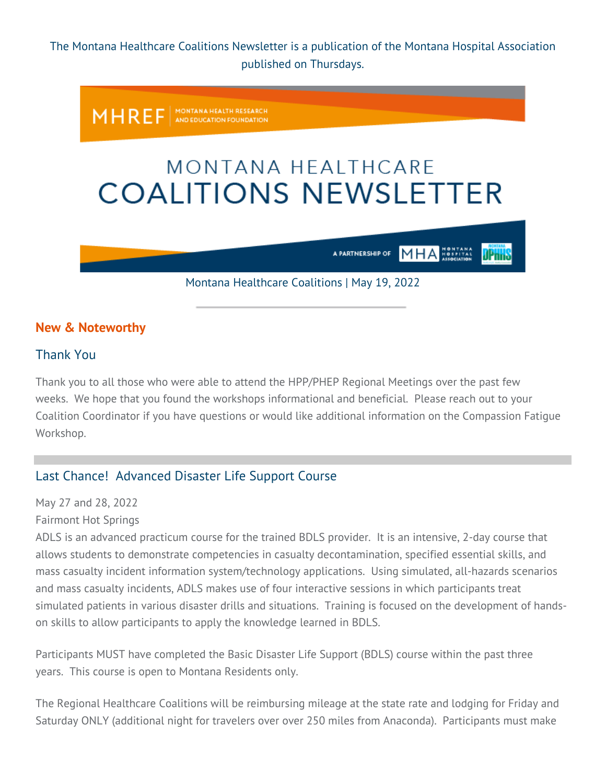The Montana Healthcare Coalitions Newsletter is a publication of the Montana Hospital Association published on Thursdays.

MONTANA HEALTH RESEARCH<br>AND EDUCATION FOUNDATION **MHREF** 

# MONTANA HEALTHCARE **COALITIONS NEWSLETTER**

**MHA** A PARTNERSHIP OF

JPnnS

Montana Healthcare Coalitions | May 19, 2022

#### **New & Noteworthy**

#### Thank You

Thank you to all those who were able to attend the HPP/PHEP Regional Meetings over the past few weeks. We hope that you found the workshops informational and beneficial. Please reach out to your Coalition Coordinator if you have questions or would like additional information on the Compassion Fatigue Workshop.

## Last Chance! Advanced Disaster Life Support Course

May 27 and 28, 2022

Fairmont Hot Springs

ADLS is an advanced practicum course for the trained BDLS provider. It is an intensive, 2-day course that allows students to demonstrate competencies in casualty decontamination, specified essential skills, and mass casualty incident information system/technology applications. Using simulated, all-hazards scenarios and mass casualty incidents, ADLS makes use of four interactive sessions in which participants treat simulated patients in various disaster drills and situations. Training is focused on the development of handson skills to allow participants to apply the knowledge learned in BDLS.

Participants MUST have completed the Basic Disaster Life Support (BDLS) course within the past three years. This course is open to Montana Residents only.

The Regional Healthcare Coalitions will be reimbursing mileage at the state rate and lodging for Friday and Saturday ONLY (additional night for travelers over over 250 miles from Anaconda). Participants must make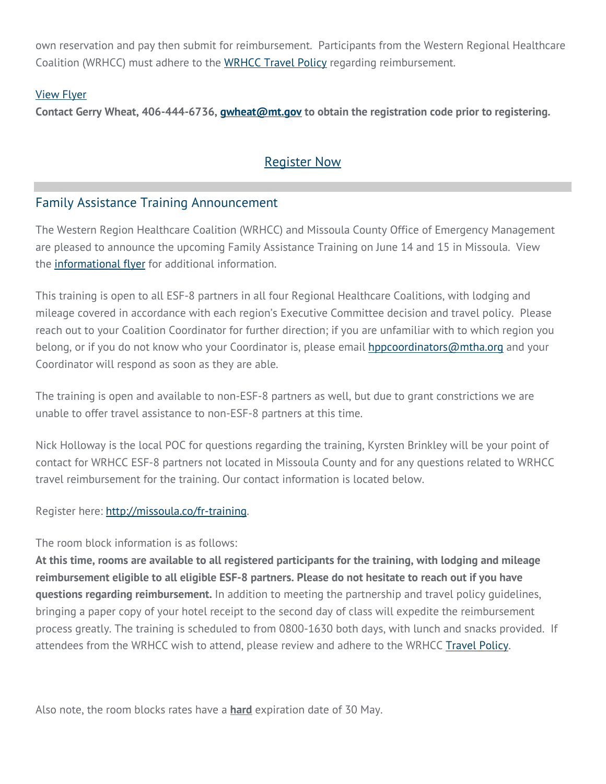own reservation and pay then submit for reimbursement. Participants from the Western Regional Healthcare Coalition (WRHCC) must adhere to the [WRHCC Travel Policy](https://montanahospitalassociation.createsend1.com/t/t-l-qdriyo-jrdutyijdl-r/) regarding reimbursement.

#### [View Flyer](https://montanahospitalassociation.createsend1.com/t/t-l-qdriyo-jrdutyijdl-y/)

**Contact Gerry Wheat, 406-444-6736, [gwheat@mt.gov](mailto:gwheat@mt.gov) to obtain the registration code prior to registering.**

# [Register](https://montanahospitalassociation.createsend1.com/t/t-l-qdriyo-jrdutyijdl-j/) Now

## Family Assistance Training Announcement

The Western Region Healthcare Coalition (WRHCC) and Missoula County Office of Emergency Management are pleased to announce the upcoming Family Assistance Training on June 14 and 15 in Missoula. View the **informational flyer** for additional information.

This training is open to all ESF-8 partners in all four Regional Healthcare Coalitions, with lodging and mileage covered in accordance with each region's Executive Committee decision and travel policy. Please reach out to your Coalition Coordinator for further direction; if you are unfamiliar with to which region you belong, or if you do not know who your Coordinator is, please email [hppcoordinators@mtha.org](mailto:hppcoordinators@mtha.org) and your Coordinator will respond as soon as they are able.

The training is open and available to non-ESF-8 partners as well, but due to grant constrictions we are unable to offer travel assistance to non-ESF-8 partners at this time.

Nick Holloway is the local POC for questions regarding the training, Kyrsten Brinkley will be your point of contact for WRHCC ESF-8 partners not located in Missoula County and for any questions related to WRHCC travel reimbursement for the training. Our contact information is located below.

Register here: [http://missoula.co/fr-training.](https://montanahospitalassociation.createsend1.com/t/t-l-qdriyo-jrdutyijdl-i/) 

The room block information is as follows:

**At this time, rooms are available to all registered participants for the training, with lodging and mileage reimbursement eligible to all eligible ESF-8 partners. Please do not hesitate to reach out if you have questions regarding reimbursement.** In addition to meeting the partnership and travel policy guidelines, bringing a paper copy of your hotel receipt to the second day of class will expedite the reimbursement process greatly. The training is scheduled to from 0800-1630 both days, with lunch and snacks provided. If attendees from the WRHCC wish to attend, please review and adhere to the WRHCC [Travel Policy.](https://montanahospitalassociation.createsend1.com/t/t-l-qdriyo-jrdutyijdl-d/)

Also note, the room blocks rates have a **hard** expiration date of 30 May.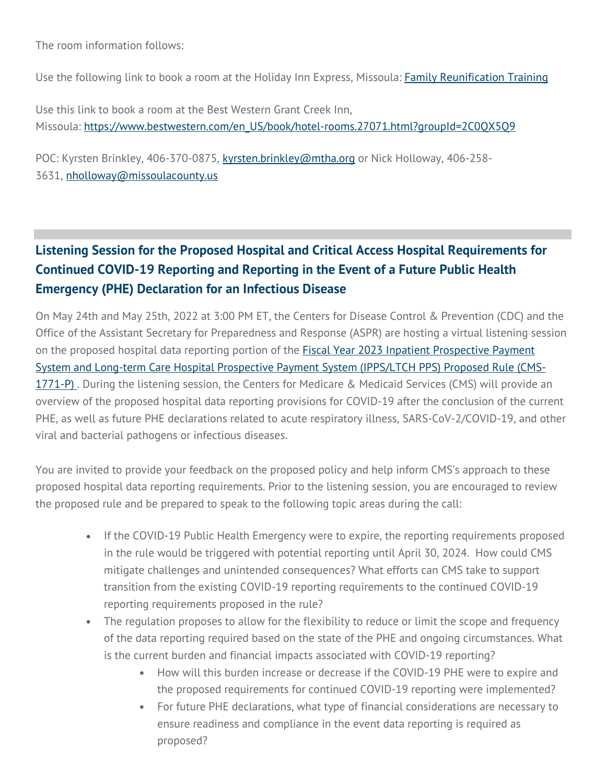The room information follows:

Use the following link to book a room at the Holiday Inn Express, Missoula: [Family Reunification Training](https://montanahospitalassociation.createsend1.com/t/t-l-qdriyo-jrdutyijdl-h/)

Use this link to book a room at the Best Western Grant Creek Inn, Missoula: [https://www.bestwestern.com/en\\_US/book/hotel-rooms.27071.html?groupId=2C0QX5Q9](https://montanahospitalassociation.createsend1.com/t/t-l-qdriyo-jrdutyijdl-k/)

POC: Kyrsten Brinkley, 406-370-0875, [kyrsten.brinkley@mtha.org](mailto:kyrsten.brinkley@mtha.org) or Nick Holloway, 406-258- 3631, [nholloway@missoulacounty.us](mailto:nholloway@missoulacounty.us) 

# **Listening Session for the Proposed Hospital and Critical Access Hospital Requirements for Continued COVID-19 Reporting and Reporting in the Event of a Future Public Health Emergency (PHE) Declaration for an Infectious Disease**

On May 24th and May 25th, 2022 at 3:00 PM ET, the Centers for Disease Control & Prevention (CDC) and the Office of the Assistant Secretary for Preparedness and Response (ASPR) are hosting a virtual listening session on the proposed hospital data reporting portion of the **Fiscal Year 2023 Inpatient Prospective Payment** System and Long-term Care Hospital Prospective [Payment System \(IPPS/LTCH PPS\) Proposed Rule \(CMS-](https://montanahospitalassociation.createsend1.com/t/t-l-qdriyo-jrdutyijdl-u/)[1771-P\)](https://montanahospitalassociation.createsend1.com/t/t-l-qdriyo-jrdutyijdl-u/). During the listening session, the Centers for Medicare & Medicaid Services (CMS) will provide an overview of the proposed hospital data reporting provisions for COVID-19 after the conclusion of the current PHE, as well as future PHE declarations related to acute respiratory illness, SARS-CoV-2/COVID-19, and other viral and bacterial pathogens or infectious diseases.

You are invited to provide your feedback on the proposed policy and help inform CMS's approach to these proposed hospital data reporting requirements. Prior to the listening session, you are encouraged to review the proposed rule and be prepared to speak to the following topic areas during the call:

- If the COVID-19 Public Health Emergency were to expire, the reporting requirements proposed in the rule would be triggered with potential reporting until April 30, 2024. How could CMS mitigate challenges and unintended consequences? What efforts can CMS take to support transition from the existing COVID-19 reporting requirements to the continued COVID-19 reporting requirements proposed in the rule?
- The regulation proposes to allow for the flexibility to reduce or limit the scope and frequency of the data reporting required based on the state of the PHE and ongoing circumstances. What is the current burden and financial impacts associated with COVID-19 reporting?
	- How will this burden increase or decrease if the COVID-19 PHE were to expire and the proposed requirements for continued COVID-19 reporting were implemented?
	- For future PHE declarations, what type of financial considerations are necessary to ensure readiness and compliance in the event data reporting is required as proposed?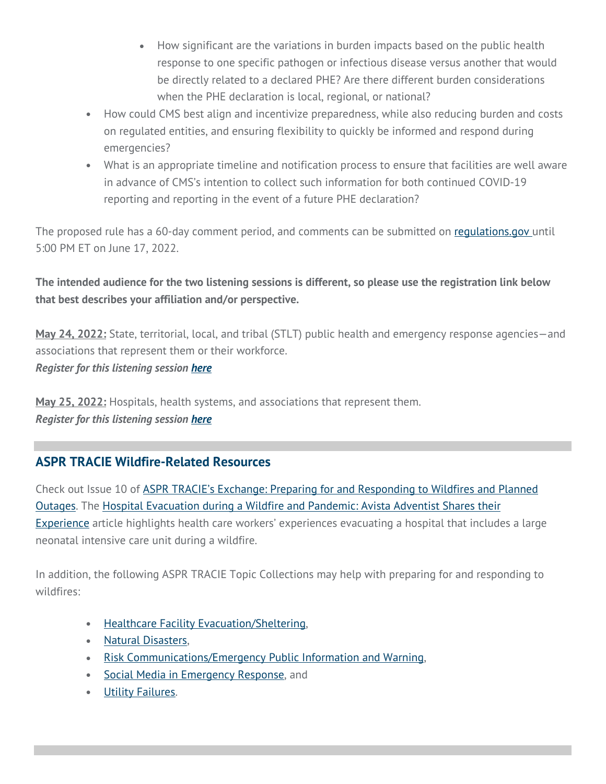- How significant are the variations in burden impacts based on the public health response to one specific pathogen or infectious disease versus another that would be directly related to a declared PHE? Are there different burden considerations when the PHE declaration is local, regional, or national?
- How could CMS best align and incentivize preparedness, while also reducing burden and costs on regulated entities, and ensuring flexibility to quickly be informed and respond during emergencies?
- What is an appropriate timeline and notification process to ensure that facilities are well aware in advance of CMS's intention to collect such information for both continued COVID-19 reporting and reporting in the event of a future PHE declaration?

The proposed rule has a 60-day comment period, and comments can be submitted on [regulations.gov u](https://montanahospitalassociation.createsend1.com/t/t-l-qdriyo-jrdutyijdl-o/)ntil 5:00 PM ET on June 17, 2022.

**The intended audience for the two listening sessions is different, so please use the registration link below that best describes your affiliation and/or perspective.**

**May 24, 2022:** State, territorial, local, and tribal (STLT) public health and emergency response agencies—and associations that represent them or their workforce. *Register for this listening session [here](https://montanahospitalassociation.createsend1.com/t/t-l-qdriyo-jrdutyijdl-b/)*

**May 25, 2022:** Hospitals, health systems, and associations that represent them. *Register for this listening session [here](https://montanahospitalassociation.createsend1.com/t/t-l-qdriyo-jrdutyijdl-n/)*

# **ASPR TRACIE Wildfire-Related Resources**

Check out Issue 10 of **ASPR TRACIE's Exchange: Preparing for and Responding to Wildfires and Planned** [Outages.](https://montanahospitalassociation.createsend1.com/t/t-l-qdriyo-jrdutyijdl-p/) The [Hospital Evacuation during a Wildfire and Pandemic: Avista Adventist Shares their](https://montanahospitalassociation.createsend1.com/t/t-l-qdriyo-jrdutyijdl-x/)  [Experience](https://montanahospitalassociation.createsend1.com/t/t-l-qdriyo-jrdutyijdl-x/) article highlights health care workers' experiences evacuating a hospital that includes a large neonatal intensive care unit during a wildfire.

In addition, the following ASPR TRACIE Topic Collections may help with preparing for and responding to wildfires:

- [Healthcare Facility Evacuation/Sheltering,](https://montanahospitalassociation.createsend1.com/t/t-l-qdriyo-jrdutyijdl-m/)
- [Natural Disasters,](https://montanahospitalassociation.createsend1.com/t/t-l-qdriyo-jrdutyijdl-c/)
- [Risk Communications/Emergency Public Information and Warning,](https://montanahospitalassociation.createsend1.com/t/t-l-qdriyo-jrdutyijdl-q/)
- Social [Media in Emergency Response,](https://montanahospitalassociation.createsend1.com/t/t-l-qdriyo-jrdutyijdl-a/) and
- **[Utility Failures.](https://montanahospitalassociation.createsend1.com/t/t-l-qdriyo-jrdutyijdl-f/)**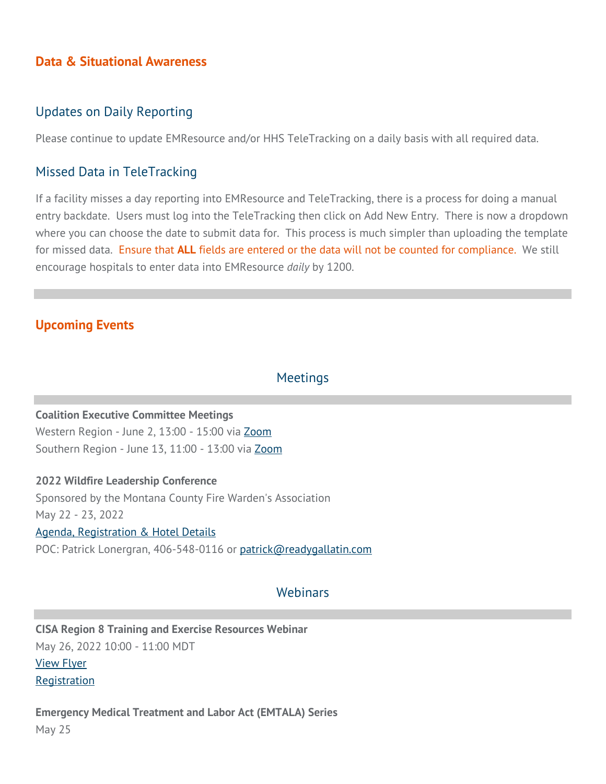### **Data & Situational Awareness**

#### Updates on Daily Reporting

Please continue to update EMResource and/or HHS TeleTracking on a daily basis with all required data.

#### Missed Data in TeleTracking

If a facility misses a day reporting into EMResource and TeleTracking, there is a process for doing a manual entry backdate. Users must log into the TeleTracking then click on Add New Entry. There is now a dropdown where you can choose the date to submit data for. This process is much simpler than uploading the template for missed data. Ensure that **ALL** fields are entered or the data will not be counted for compliance. We still encourage hospitals to enter data into EMResource *daily* by 1200.

## **Upcoming Events**

#### Meetings

#### **Coalition Executive Committee Meetings**

Western Region - June 2, 13:00 - 15:00 via [Zoom](https://montanahospitalassociation.createsend1.com/t/t-l-qdriyo-jrdutyijdl-z/) Southern Region - June 13, 11:00 - 13:00 via [Zoom](https://montanahospitalassociation.createsend1.com/t/t-l-qdriyo-jrdutyijdl-v/) 

**2022 Wildfire Leadership Conference** Sponsored by the Montana County Fire Warden's Association May 22 - 23, 2022 [Agenda, Registration & Hotel Details](https://montanahospitalassociation.createsend1.com/t/t-l-qdriyo-jrdutyijdl-e/) POC: Patrick Lonergran, 406-548-0116 or [patrick@readygallatin.com](mailto:patrick@readygallatin.com)

#### **Webinars**

**CISA Region 8 Training and Exercise Resources Webinar** May 26, 2022 10:00 - 11:00 MDT [View Flyer](https://montanahospitalassociation.createsend1.com/t/t-l-qdriyo-jrdutyijdl-s/) [Registration](https://montanahospitalassociation.createsend1.com/t/t-l-qdriyo-jrdutyijdl-g/)

**Emergency Medical Treatment and Labor Act (EMTALA) Series** May 25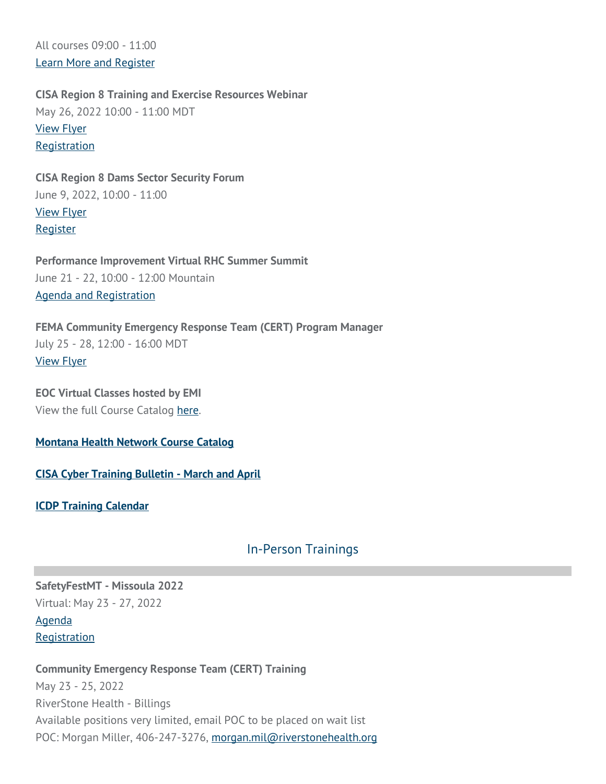All courses 09:00 - 11:00 [Learn More and Register](https://montanahospitalassociation.createsend1.com/t/t-l-qdriyo-jrdutyijdl-w/)

**CISA Region 8 Training and Exercise Resources Webinar** May 26, 2022 10:00 - 11:00 MDT [View Flyer](https://montanahospitalassociation.createsend1.com/t/t-l-qdriyo-jrdutyijdl-yd/) [Registration](https://montanahospitalassociation.createsend1.com/t/t-l-qdriyo-jrdutyijdl-yh/)

**CISA Region 8 Dams Sector Security Forum** June 9, 2022, 10:00 - 11:00 [View Flyer](https://montanahospitalassociation.createsend1.com/t/t-l-qdriyo-jrdutyijdl-jy/) [Register](https://montanahospitalassociation.createsend1.com/t/t-l-qdriyo-jrdutyijdl-jj/)

**Performance Improvement Virtual RHC Summer Summit** June 21 - 22, 10:00 - 12:00 Mountain [Agenda and Registration](https://montanahospitalassociation.createsend1.com/t/t-l-qdriyo-jrdutyijdl-jt/)

**FEMA Community Emergency Response Team (CERT) Program Manager** July 25 - 28, 12:00 - 16:00 MDT [View Flyer](https://montanahospitalassociation.createsend1.com/t/t-l-qdriyo-jrdutyijdl-ji/)

**EOC Virtual Classes hosted by EMI** View the full Course Catalog [here.](https://montanahospitalassociation.createsend1.com/t/t-l-qdriyo-jrdutyijdl-jd/)

**[Montana Health Network Course Catalog](https://montanahospitalassociation.createsend1.com/t/t-l-qdriyo-jrdutyijdl-jh/)**

**[CISA Cyber Training Bulletin - March and April](https://montanahospitalassociation.createsend1.com/t/t-l-qdriyo-jrdutyijdl-jk/)**

**[ICDP Training Calendar](https://montanahospitalassociation.createsend1.com/t/t-l-qdriyo-jrdutyijdl-ju/)**

## In-Person Trainings

**SafetyFestMT - Missoula 2022** Virtual: May 23 - 27, 2022 [Agenda](https://montanahospitalassociation.createsend1.com/t/t-l-qdriyo-jrdutyijdl-tl/)

**[Registration](https://montanahospitalassociation.createsend1.com/t/t-l-qdriyo-jrdutyijdl-tr/)** 

**Community Emergency Response Team (CERT) Training** May 23 - 25, 2022 RiverStone Health - Billings Available positions very limited, email POC to be placed on wait list POC: Morgan Miller, 406-247-3276, [morgan.mil@riverstonehealth.org](mailto:morgan.mil@riverstonehealth.org)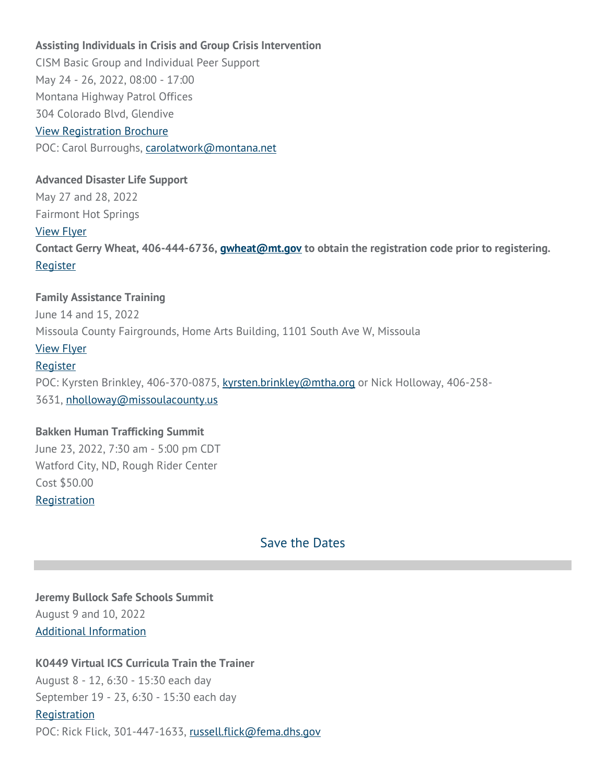#### **Assisting Individuals in Crisis and Group Crisis Intervention**

CISM Basic Group and Individual Peer Support May 24 - 26, 2022, 08:00 - 17:00 Montana Highway Patrol Offices 304 Colorado Blvd, Glendive [View Registration Brochure](https://montanahospitalassociation.createsend1.com/t/t-l-qdriyo-jrdutyijdl-ty/) POC: Carol Burroughs, [carolatwork@montana.net](mailto:carolatwork@montana.net) 

#### **Advanced Disaster Life Support**

May 27 and 28, 2022 Fairmont Hot Springs [View Flyer](https://montanahospitalassociation.createsend1.com/t/t-l-qdriyo-jrdutyijdl-tj/) **Contact Gerry Wheat, 406-444-6736, [gwheat@mt.gov](mailto:gwheat@mt.gov) to obtain the registration code prior to registering.** [Register](https://montanahospitalassociation.createsend1.com/t/t-l-qdriyo-jrdutyijdl-tt/)

#### **Family Assistance Training**

June 14 and 15, 2022 Missoula County Fairgrounds, Home Arts Building, 1101 South Ave W, Missoula [View Flyer](https://montanahospitalassociation.createsend1.com/t/t-l-qdriyo-jrdutyijdl-ti/) [Register](https://montanahospitalassociation.createsend1.com/t/t-l-qdriyo-jrdutyijdl-td/) POC: Kyrsten Brinkley, 406-370-0875, [kyrsten.brinkley@mtha.org](mailto:kyrsten.brinkley@mtha.org) or Nick Holloway, 406-258- 3631, [nholloway@missoulacounty.us](mailto:nholloway@missoulacounty.us) 

#### **Bakken Human Trafficking Summit**

June 23, 2022, 7:30 am - 5:00 pm CDT Watford City, ND, Rough Rider Center Cost \$50.00 **[Registration](https://montanahospitalassociation.createsend1.com/t/t-l-qdriyo-jrdutyijdl-th/)** 

## Save the Dates

**Jeremy Bullock Safe Schools Summit** August 9 and 10, 2022 [Additional Information](https://montanahospitalassociation.createsend1.com/t/t-l-qdriyo-jrdutyijdl-tk/)

#### **K0449 Virtual ICS Curricula Train the Trainer**

August 8 - 12, 6:30 - 15:30 each day September 19 - 23, 6:30 - 15:30 each day

**[Registration](https://montanahospitalassociation.createsend1.com/t/t-l-qdriyo-jrdutyijdl-tu/)** 

POC: Rick Flick, 301-447-1633, [russell.flick@fema.dhs.gov](mailto:russell.flick@fema.dhs.gov)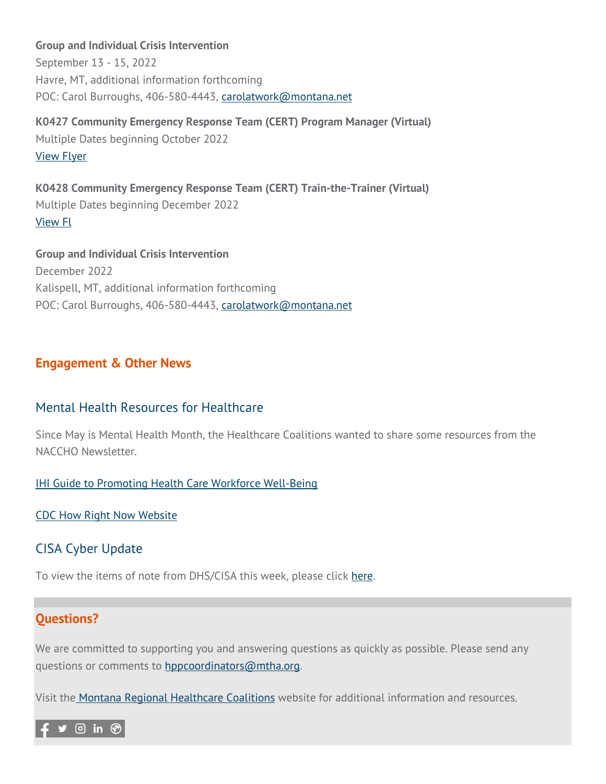**Group and Individual Crisis Intervention** September 13 - 15, 2022 Havre, MT, additional information forthcoming POC: Carol Burroughs, 406-580-4443, [carolatwork@montana.net](mailto:carolatwork@montana.net)

**K0427 Community Emergency Response Team (CERT) Program Manager (Virtual)** Multiple Dates beginning October 2022 [View Flyer](https://montanahospitalassociation.createsend1.com/t/t-l-qdriyo-jrdutyijdl-il/)

**K0428 Community Emergency Response Team (CERT) Train-the-Trainer (Virtual)** Multiple Dates beginning December 2022 [View Fl](https://montanahospitalassociation.createsend1.com/t/t-l-qdriyo-jrdutyijdl-iy/)

**Group and Individual Crisis Intervention** December 2022 Kalispell, MT, additional information forthcoming POC: Carol Burroughs, 406-580-4443, [carolatwork@montana.net](mailto:carolatwork@montana.net)

## **Engagement & Other News**

## Mental Health Resources for Healthcare

Since May is Mental Health Month, the Healthcare Coalitions wanted to share some resources from the NACCHO Newsletter.

**[IHI Guide to Promoting Health Care Workforce Well-Being](https://montanahospitalassociation.createsend1.com/t/t-l-qdriyo-jrdutyijdl-ij/)** 

[CDC How Right Now Website](https://montanahospitalassociation.createsend1.com/t/t-l-qdriyo-jrdutyijdl-it/)

# CISA Cyber Update

To view the items of note from DHS/CISA this week, please click [here.](https://montanahospitalassociation.createsend1.com/t/t-l-qdriyo-jrdutyijdl-ii/)

## **Questions?**

We are committed to supporting you and answering questions as quickly as possible. Please send any questions or comments to [hppcoordinators@mtha.org.](mailto:hppcoordinators@mtha.org)

Visit th[e](https://montanahospitalassociation.createsend1.com/t/t-l-qdriyo-jrdutyijdl-id/) [Montana Regional Healthcare Coalitions](https://montanahospitalassociation.createsend1.com/t/t-l-qdriyo-jrdutyijdl-ih/) website for additional information and resources.